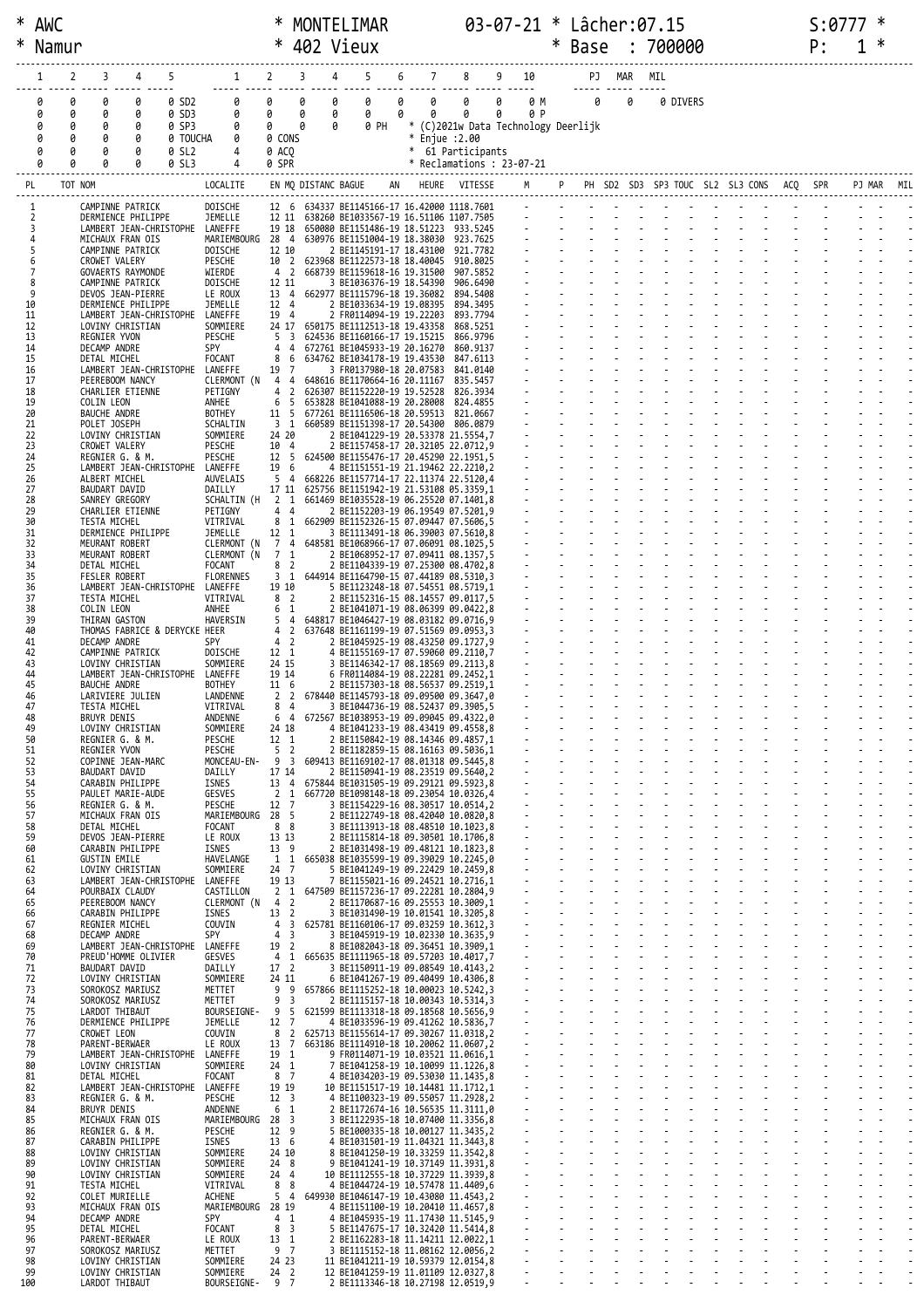| ∗        | Namur            |                                                       |                             |                                                    |        | * 402 Vieux                                                                           |        |             |                          |                                               | Base                                         |        |     | 700000   |  |  | P: |  |     |
|----------|------------------|-------------------------------------------------------|-----------------------------|----------------------------------------------------|--------|---------------------------------------------------------------------------------------|--------|-------------|--------------------------|-----------------------------------------------|----------------------------------------------|--------|-----|----------|--|--|----|--|-----|
|          | 2                | 3<br>4<br>5                                           | 1                           | 2                                                  | 3      | 5<br>4                                                                                | 6      | $7^{\circ}$ | 8                        | 9<br>10                                       |                                              | PJ MAR | MIL |          |  |  |    |  |     |
|          | 0<br>0           | 0<br>q<br>0 SD2                                       | 0                           | 0                                                  | 0      | 0<br>0                                                                                | 0      | 0           | acces codes codes (<br>0 | 0<br>0 M                                      | $\theta$                                     | 0      |     | 0 DIVERS |  |  |    |  |     |
|          | 0<br>0<br>0<br>0 | 0<br>0<br>0 SD3<br>0<br>0 SP3<br>0                    | 0<br>0                      | 0<br>0                                             | 0<br>0 | 0<br>0<br>0<br>0 PH                                                                   | 0<br>* | 0           | 0                        | 0<br>0 P<br>(C)2021w Data Technology Deerlijk |                                              |        |     |          |  |  |    |  |     |
|          | 0<br>ø           | 0<br>0 TOUCHA<br>0                                    | 0                           | 0 CONS                                             |        |                                                                                       | $\ast$ |             | Enjue :2.00              |                                               |                                              |        |     |          |  |  |    |  |     |
|          | 0                | 0<br>0 SL2<br>0<br>0<br>0 SL3                         | 4<br>4                      | 0 ACO<br>0 SPR                                     |        |                                                                                       |        |             | * 61 Participants        | $*$ Reclamations : 23-07-21                   |                                              |        |     |          |  |  |    |  |     |
| PL       |                  | TOT NOM                                               | LOCALITE                    |                                                    |        | EN MQ DISTANC BAGUE                                                                   | AN     |             | HEURE VITESSE            |                                               | M P PH SD2 SD3 SP3 TOUC SL2 SL3 CONS ACQ SPR |        |     |          |  |  |    |  | MIL |
|          |                  | CAMPINNE PATRICK                                      | DOISCHE                     |                                                    |        | 12 6 634337 BE1145166-17 16.42000 1118.7601                                           |        |             |                          |                                               |                                              |        |     |          |  |  |    |  |     |
|          |                  | DERMIENCE PHILIPPE<br>LAMBERT JEAN-CHRISTOPHE LANEFFE | JEMELLE                     | 19 18                                              |        | 12 11 638260 BE1033567-19 16.51106 1107.7505<br>650080 BE1151486-19 18.51223 933.5245 |        |             |                          | $\mathcal{L}^{\mathcal{L}}$                   |                                              |        |     |          |  |  |    |  |     |
| 5        |                  | MICHAUX FRAN OIS<br>CAMPINNE PATRICK                  | MARIEMBOURG<br>DOISCHE      | 28 4<br>12 10                                      |        | 630976 BE1151004-19 18.38030 923.7625<br>2 BE1145191-17 18.43100                      |        |             | 921.7782                 |                                               |                                              |        |     |          |  |  |    |  |     |
|          |                  | CROWET VALERY<br>GOVAERTS RAYMONDE                    | PESCHE<br>WIERDE            | 10 2<br>4 <sub>2</sub>                             |        | 623968 BE1122573-18 18.40045<br>668739 BE1159618-16 19.31500                          |        |             | 910.8025<br>907.5852     |                                               |                                              |        |     |          |  |  |    |  |     |
| 8<br>9   |                  | CAMPINNE PATRICK<br>DEVOS JEAN-PIERRE                 | DOISCHE<br>LE ROUX          | 12 11<br>13 4                                      |        | 3 BE1036376-19 18.54390<br>662977 BE1115796-18 19.36082                               |        |             | 906.6490<br>894.5408     | $\Delta \sim 100$                             |                                              |        |     |          |  |  |    |  |     |
| 10<br>11 |                  | DERMIENCE PHILIPPE<br>LAMBERT JEAN-CHRISTOPHE LANEFFE | JEMELLE                     | 12 4<br>19 4                                       |        | 2 BE1033634-19 19.08395<br>2 FR0114094-19 19.22203                                    |        |             | 894.3495<br>893.7794     |                                               |                                              |        |     |          |  |  |    |  |     |
| 12<br>13 |                  | LOVINY CHRISTIAN<br>REGNIER YVON                      | SOMMIERE<br>PESCHE          | 24 17<br>5<br>$\overline{\mathbf{3}}$              |        | 650175 BE1112513-18 19.43358<br>624536 BE1160166-17 19.15215                          |        |             | 868.5251<br>866.9796     |                                               |                                              |        |     |          |  |  |    |  |     |
| 14<br>15 |                  | DECAMP ANDRE<br>DETAL MICHEL                          | <b>SPY</b><br>FOCANT        | 4<br>4<br>8<br>6                                   |        | 672761 BE1045933-19 20.16270<br>634762 BE1034178-19 19.43530                          |        |             | 860.9137<br>847.6113     | $\mathbf{r}$                                  |                                              |        |     |          |  |  |    |  |     |
| 16<br>17 |                  | LAMBERT JEAN-CHRISTOPHE<br>PEEREBOOM NANCY            | LANEFFE<br>CLERMONT (N      | 19 7<br>44                                         |        | 3 FR0137980-18 20.07583<br>648616 BE1170664-16 20.11167                               |        |             | 841.0140<br>835.5457     |                                               |                                              |        |     |          |  |  |    |  |     |
| 18<br>19 |                  | CHARLIER ETIENNE<br>COLIN LEON                        | PETIGNY<br>ANHEE            | $\overline{2}$<br>4<br>6<br>5                      |        | 626307 BE1152220-19 19.52528<br>653828 BE1041088-19 20.28008                          |        |             | 826.3934<br>824.4855     |                                               |                                              |        |     |          |  |  |    |  |     |
| 20<br>21 |                  | BAUCHE ANDRE<br>POLET JOSEPH                          | BOTHEY<br>SCHALTIN          | 11 5<br>3 <sub>1</sub>                             |        | 677261 BE1116506-18 20.59513<br>660589 BE1151398-17 20.54300                          |        |             | 821.0667<br>806.0879     |                                               |                                              |        |     |          |  |  |    |  |     |
| 22<br>23 |                  | LOVINY CHRISTIAN<br>CROWET VALERY                     | SOMMIERE<br>PESCHE          | 24 20<br>10 4                                      |        | 2 BE1041229-19 20.53378 21.5554,7<br>2 BE1157458-17 20.32105 22.0712,9                |        |             |                          |                                               |                                              |        |     |          |  |  |    |  |     |
| 24       |                  | REGNIER G. & M.                                       | PESCHE                      | 12 5                                               |        | 624500 BE1155476-17 20.45290 22.1951,5                                                |        |             |                          |                                               |                                              |        |     |          |  |  |    |  |     |
| 25<br>26 |                  | LAMBERT JEAN-CHRISTOPHE<br>ALBERT MICHEL              | LANEFFE<br>AUVELAIS         | 19 6<br>5 <sub>4</sub>                             |        | 4 BE1151551-19 21.19462 22.2210,2<br>668226 BE1157714-17 22.11374 22.5120,4           |        |             |                          |                                               |                                              |        |     |          |  |  |    |  |     |
| 27<br>28 |                  | BAUDART DAVID<br>SANREY GREGORY                       | DAILLY<br>SCHALTIN (H       | 17 11<br>2 1                                       |        | 625756 BE1151942-19 21.53108 05.3359,1<br>661469 BE1035528-19 06.25520 07.1401,8      |        |             |                          | $\omega_{\rm{max}}$                           |                                              |        |     |          |  |  |    |  |     |
| 29<br>30 |                  | CHARLIER ETIENNE<br>TESTA MICHEL                      | PETIGNY<br>VITRIVAL         | 4<br>$\overline{4}$<br>8<br>1                      |        | 2 BE1152203-19 06.19549 07.5201,9<br>662909 BE1152326-15 07.09447 07.5606,5           |        |             |                          |                                               |                                              |        |     |          |  |  |    |  |     |
| 31<br>32 |                  | DERMIENCE PHILIPPE<br>MEURANT ROBERT                  | JEMELLE<br>CLERMONT (N      | 12<br>1<br>7<br>4                                  |        | 3 BE1113491-18 06.39003 07.5610,8<br>648581 BE1068966-17 07.06091 08.1025,5           |        |             |                          |                                               |                                              |        |     |          |  |  |    |  |     |
| 33<br>34 |                  | MEURANT ROBERT<br>DETAL MICHEL                        | CLERMONT (N<br>FOCANT       | $\overline{7}$<br>1<br>8 2                         |        | 2 BE1068952-17 07.09411 08.1357,5<br>2 BE1104339-19 07.25300 08.4702,8                |        |             |                          |                                               |                                              |        |     |          |  |  |    |  |     |
| 35<br>36 |                  | FESLER ROBERT<br>LAMBERT JEAN-CHRISTOPHE              | <b>FLORENNES</b><br>LANEFFE | 3 <sub>1</sub><br>19 10                            |        | 644914 BE1164790-15 07.44189 08.5310,3<br>5 BE1123248-18 07.54551 08.5719,1           |        |             |                          |                                               |                                              |        |     |          |  |  |    |  |     |
| 37<br>38 |                  | TESTA MICHEL<br>COLIN LEON                            | VITRIVAL<br>ANHEE           | 8 <sup>2</sup><br>6 1                              |        | 2 BE1152316-15 08.14557 09.0117,5<br>2 BE1041071-19 08.06399 09.0422,8                |        |             |                          |                                               |                                              |        |     |          |  |  |    |  |     |
| 39<br>40 |                  | THIRAN GASTON<br>THOMAS FABRICE & DERYCKE HEER        | HAVERSIN                    | 5 <sub>4</sub><br>4 2                              |        | 648817 BE1046427-19 08.03182 09.0716,9<br>637648 BE1161199-19 07.51569 09.0953,3      |        |             |                          | $\omega_{\rm{max}}$                           |                                              |        |     |          |  |  |    |  |     |
| 41<br>42 |                  | DECAMP ANDRE<br>CAMPINNE PATRICK                      | SPY<br>DOISCHE              | 4 2<br>12 1                                        |        | 2 BE1045925-19 08.43250 09.1727,9<br>4 BE1155169-17 07.59060 09.2110,7                |        |             |                          |                                               |                                              |        |     |          |  |  |    |  |     |
| 43<br>44 |                  | LOVINY CHRISTIAN<br>LAMBERT JEAN-CHRISTOPHE LANEFFE   | SOMMIERE                    | 24 15<br>19 14                                     |        | 3 BE1146342-17 08.18569 09.2113,8                                                     |        |             |                          |                                               |                                              |        |     |          |  |  |    |  |     |
| 45       |                  | BAUCHE ANDRE                                          | <b>BOTHEY</b>               | 11 6                                               |        | 6 FR0114084-19 08.22281 09.2452,1<br>2 BE1157303-18 08.56537 09.2519,1                |        |             |                          | $\omega_{\rm{max}}$                           |                                              |        |     |          |  |  |    |  |     |
| 46<br>47 |                  | LARIVIERE JULIEN<br>TESTA MICHEL                      | LANDENNE<br>VITRIVAL        | 2 <sub>2</sub><br>84                               |        | 678440 BE1145793-18 09.09500 09.3647,0<br>3 BE1044736-19 08.52437 09.3905,5           |        |             |                          |                                               |                                              |        |     |          |  |  |    |  |     |
| 48<br>49 |                  | <b>BRUYR DENIS</b><br>LOVINY CHRISTIAN                | ANDENNE<br>SOMMIERE         | 64<br>24 18                                        |        | 672567 BE1038953-19 09.09045 09.4322,0<br>4 BE1041233-19 08.43419 09.4558,8           |        |             |                          |                                               |                                              |        |     |          |  |  |    |  |     |
| 50<br>51 |                  | REGNIER G. & M.<br>REGNIER YVON                       | PESCHE<br>PESCHE            | 12 1<br>5 <sub>2</sub>                             |        | 2 BE1150842-19 08.14346 09.4857,1<br>2 BE1182859-15 08.16163 09.5036,1                |        |             |                          |                                               |                                              |        |     |          |  |  |    |  |     |
| 52<br>53 |                  | COPINNE JEAN-MARC<br>BAUDART DAVID                    | MONCEAU-EN-<br>DAILLY       | 9 3<br>17 14                                       |        | 609413 BE1169102-17 08.01318 09.5445.8<br>2 BE1150941-19 08.23519 09.5640,2           |        |             |                          |                                               |                                              |        |     |          |  |  |    |  |     |
| 54<br>55 |                  | CARABIN PHILIPPE<br>PAULET MARIE-AUDE                 | <b>ISNES</b><br>GESVES      | 13 4<br>$\overline{2}$<br>1                        |        | 675844 BE1031505-19 09.29121 09.5923.8<br>667720 BE1098148-18 09.23054 10.0326,4      |        |             |                          |                                               |                                              |        |     |          |  |  |    |  |     |
| 56<br>57 |                  | REGNIER G. & M.<br>MICHAUX FRAN OIS                   | PESCHE<br>MARIEMBOURG       | $\overline{7}$<br>12<br>28 5                       |        | 3 BE1154229-16 08.30517 10.0514,2<br>2 BE1122749-18 08.42040 10.0820,8                |        |             |                          | $\omega$                                      |                                              |        |     |          |  |  |    |  |     |
| 58<br>59 |                  | DETAL MICHEL<br>DEVOS JEAN-PIERRE                     | FOCANT<br>LE ROUX           | 88<br>13 13                                        |        | 3 BE1113913-18 08.48510 10.1023.8<br>2 BE1115814-18 09.30501 10.1706,8                |        |             |                          | $\omega$                                      |                                              |        |     |          |  |  |    |  |     |
| 60<br>61 |                  | CARABIN PHILIPPE<br><b>GUSTIN EMILE</b>               | ISNES<br>HAVELANGE          | 13 9<br>$1\quad1$                                  |        | 2 BE1031498-19 09.48121 10.1823,8<br>665038 BE1035599-19 09.39029 10.2245.0           |        |             |                          |                                               |                                              |        |     |          |  |  |    |  |     |
| 62<br>63 |                  | LOVINY CHRISTIAN<br>LAMBERT JEAN-CHRISTOPHE LANEFFE   | SOMMIERE                    | 24 7<br>19 13                                      |        | 5 BE1041249-19 09.22429 10.2459,8<br>7 BE1155021-16 09.24521 10.2716,1                |        |             |                          | $\omega$<br>$\blacksquare$                    |                                              |        |     |          |  |  |    |  |     |
| 64<br>65 |                  | POURBAIX CLAUDY<br>PEEREBOOM NANCY                    | CASTILLON<br>CLERMONT (N    | 2 <sub>1</sub><br>$\overline{2}$<br>$\overline{4}$ |        | 647509 BE1157236-17 09.22281 10.2804,9<br>2 BE1170687-16 09.25553 10.3009,1           |        |             |                          | $\omega$                                      |                                              |        |     |          |  |  |    |  |     |
| 66<br>67 |                  | CARABIN PHILIPPE<br>REGNIER MICHEL                    | ISNES<br>COUVIN             | 13<br>$\overline{2}$<br>4<br>3                     |        | 3 BE1031490-19 10.01541 10.3205,8<br>625781 BE1160106-17 09.03259 10.3612,3           |        |             |                          |                                               |                                              |        |     |          |  |  |    |  |     |
| 68       |                  | DECAMP ANDRE                                          | SPY                         | $\overline{3}$<br>4                                |        | 3 BE1045919-19 10.02330 10.3635,9                                                     |        |             |                          | ä,<br>÷.                                      |                                              |        |     |          |  |  |    |  |     |
| 69<br>70 |                  | LAMBERT JEAN-CHRISTOPHE<br>PREUD'HOMME OLIVIER        | LANEFFE<br>GESVES           | 19 2<br>4<br>1                                     |        | 8 BE1082043-18 09.36451 10.3909,1<br>665635 BE1111965-18 09.57203 10.4017,7           |        |             |                          | ÷.                                            |                                              |        |     |          |  |  |    |  |     |
| 71<br>72 |                  | BAUDART DAVID<br>LOVINY CHRISTIAN                     | DAILLY<br>SOMMIERE          | 17 <sup>2</sup><br>24 11                           |        | 3 BE1150911-19 09.08549 10.4143,2<br>6 BE1041267-19 09.40499 10.4306,8                |        |             |                          |                                               |                                              |        |     |          |  |  |    |  |     |
| 73<br>74 |                  | SOROKOSZ MARIUSZ<br>SOROKOSZ MARIUSZ                  | METTET<br>METTET            | 9<br>9<br>9<br>$\overline{3}$                      |        | 657866 BE1115252-18 10.00023 10.5242,3<br>2 BE1115157-18 10.00343 10.5314,3           |        |             |                          | $\mathbb{Z}^2$                                |                                              |        |     |          |  |  |    |  |     |
| 75<br>76 |                  | LARDOT THIBAUT<br>DERMIENCE PHILIPPE                  | BOURSEIGNE-<br>JEMELLE      | 9<br>-5<br>12<br>7                                 |        | 621599 BE1113318-18 09.18568 10.5656,9<br>4 BE1033596-19 09.41262 10.5836,7           |        |             |                          | $\omega$<br>ä,                                |                                              |        |     |          |  |  |    |  |     |
| 77<br>78 |                  | CROWET LEON<br>PARENT-BERWAER                         | COUVIN<br>LE ROUX           | $\overline{2}$<br>8<br>13<br>7                     |        | 625713 BE1155614-17 09.30267 11.0318,2<br>663186 BE1114910-18 10.20062 11.0607,2      |        |             |                          |                                               |                                              |        |     |          |  |  |    |  |     |
| 79<br>80 |                  | LAMBERT JEAN-CHRISTOPHE<br>LOVINY CHRISTIAN           | LANEFFE<br>SOMMIERE         | 19 1<br>24 1                                       |        | 9 FR0114071-19 10.03521 11.0616,1<br>7 BE1041258-19 10.10099 11.1226,8                |        |             |                          |                                               |                                              |        |     |          |  |  |    |  |     |
| 81<br>82 |                  | DETAL MICHEL<br>LAMBERT JEAN-CHRISTOPHE               | <b>FOCANT</b><br>LANEFFE    | 8 7<br>19 19                                       |        | 4 BE1034203-19 09.53030 11.1435,8<br>10 BE1151517-19 10.14481 11.1712,1               |        |             |                          | $\blacksquare$                                |                                              |        |     |          |  |  |    |  |     |
| 83<br>84 |                  | REGNIER G. & M.<br>BRUYR DENIS                        | PESCHE<br>ANDENNE           | 12 <sup>3</sup><br>6 <sub>1</sub>                  |        | 4 BE1100323-19 09.55057 11.2928,2<br>2 BE1172674-16 10.56535 11.3111,0                |        |             |                          |                                               |                                              |        |     |          |  |  |    |  |     |
| 85<br>86 |                  | MICHAUX FRAN OIS<br>REGNIER G. & M.                   | MARIEMBOURG<br>PESCHE       | 28<br>3<br>12 9                                    |        | 3 BE1122935-18 10.07400 11.3356,8<br>5 BE1000335-18 10.00127 11.3435,2                |        |             |                          | $\blacksquare$<br>$\blacksquare$              |                                              |        |     |          |  |  |    |  |     |
| 87<br>88 |                  | CARABIN PHILIPPE<br>LOVINY CHRISTIAN                  | ISNES<br>SOMMIERE           | 13 6<br>24 10                                      |        | 4 BE1031501-19 11.04321 11.3443,8<br>8 BE1041250-19 10.33259 11.3542,8                |        |             |                          | ÷.<br>ä,                                      |                                              |        |     |          |  |  |    |  |     |
| 89<br>90 |                  | LOVINY CHRISTIAN                                      | SOMMIERE<br>SOMMIERE        | 24 8<br>24 4                                       |        | 9 BE1041241-19 10.37149 11.3931,8<br>10 BE1112555-18 10.37229 11.3939,8               |        |             |                          |                                               |                                              |        |     |          |  |  |    |  |     |
| 91       |                  | LOVINY CHRISTIAN<br>TESTA MICHEL                      | VITRIVAL                    | 8<br>8                                             |        | 4 BE1044724-19 10.57478 11.4409,6                                                     |        |             |                          | $\Box$                                        |                                              |        |     |          |  |  |    |  |     |
| 92<br>93 |                  | COLET MURIELLE<br>MICHAUX FRAN OIS                    | ACHENE<br>MARIEMBOURG       | 5<br>4<br>28 19                                    |        | 649930 BE1046147-19 10.43080 11.4543,2<br>4 BE1151100-19 10.20410 11.4657,8           |        |             |                          | $\mathbf{r}$<br>L.                            |                                              |        |     |          |  |  |    |  |     |
| 94<br>95 |                  | DECAMP ANDRE<br>DETAL MICHEL                          | SPY<br>FOCANT               | 4<br>1<br>8<br>$\overline{\mathbf{3}}$             |        | 4 BE1045935-19 11.17430 11.5145,9<br>5 BE1147675-17 10.32420 11.5414,8                |        |             |                          |                                               |                                              |        |     |          |  |  |    |  |     |
| 96<br>97 |                  | PARENT-BERWAER<br>SOROKOSZ MARIUSZ                    | LE ROUX<br>METTET           | 13 1<br>9 7                                        |        | 2 BE1162283-18 11.14211 12.0022,1<br>BE1115152-18 11.08162 12.0056.2<br>3             |        |             |                          |                                               |                                              |        |     |          |  |  |    |  |     |
| 98<br>99 |                  | LOVINY CHRISTIAN<br>LOVINY CHRISTIAN                  | SOMMIERE<br>SOMMIERE        | 24 23<br>24 2                                      |        | 11 BE1041211-19 10.59379 12.0154,8<br>12 BE1041259-19 11.01109 12.0327,8              |        |             |                          |                                               |                                              |        |     |          |  |  |    |  |     |
| 100      |                  | LARDOT THIBAUT                                        | BOURSEIGNE-                 | 97                                                 |        | 2 BE1113346-18 10.27198 12.0519,9                                                     |        |             |                          |                                               |                                              |        |     |          |  |  |    |  |     |

\* AWC \* MONTELIMAR 03-07-21 \* Lâcher:07.15 S:0777 \*